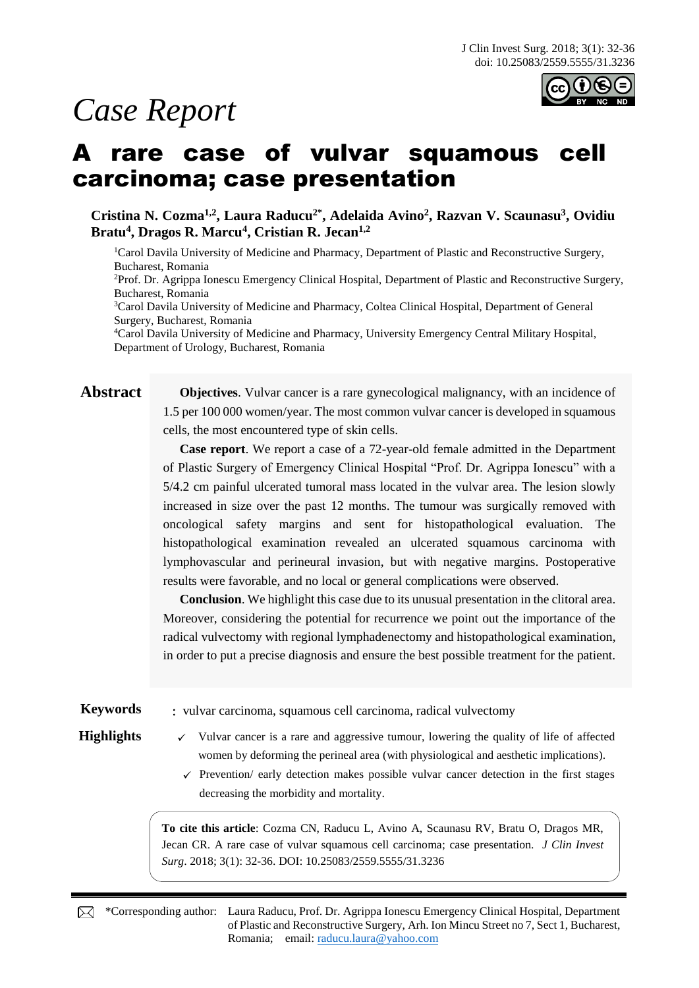# *Case Report*



## A rare case of vulvar squamous cell carcinoma; case presentation

**Cristina N. Cozma1,2, Laura Raducu2\* , Adelaida Avino<sup>2</sup> , Razvan V. Scaunasu<sup>3</sup> , Ovidiu Bratu<sup>4</sup> , Dragos R. Marcu<sup>4</sup> , Cristian R. Jecan1,2** 

<sup>1</sup>Carol Davila University of Medicine and Pharmacy, Department of Plastic and Reconstructive Surgery, Bucharest, Romania <sup>2</sup>Prof. Dr. Agrippa Ionescu Emergency Clinical Hospital, Department of Plastic and Reconstructive Surgery,

Bucharest, Romania

<sup>3</sup>Carol Davila University of Medicine and Pharmacy, Coltea Clinical Hospital, Department of General Surgery, Bucharest, Romania

<sup>4</sup>Carol Davila University of Medicine and Pharmacy, University Emergency Central Military Hospital, Department of Urology, Bucharest, Romania

**Abstract Objectives**. Vulvar cancer is a rare gynecological malignancy, with an incidence of 1.5 per 100 000 women/year. The most common vulvar cancer is developed in squamous cells, the most encountered type of skin cells.

> **Case report**. We report a case of a 72-year-old female admitted in the Department of Plastic Surgery of Emergency Clinical Hospital "Prof. Dr. Agrippa Ionescu" with a 5/4.2 cm painful ulcerated tumoral mass located in the vulvar area. The lesion slowly increased in size over the past 12 months. The tumour was surgically removed with oncological safety margins and sent for histopathological evaluation. The histopathological examination revealed an ulcerated squamous carcinoma with lymphovascular and perineural invasion, but with negative margins. Postoperative results were favorable, and no local or general complications were observed.

> **Conclusion**. We highlight this case due to its unusual presentation in the clitoral area. Moreover, considering the potential for recurrence we point out the importance of the radical vulvectomy with regional lymphadenectomy and histopathological examination, in order to put a precise diagnosis and ensure the best possible treatment for the patient.

**Keywords** : vulvar carcinoma, squamous cell carcinoma, radical vulvectomy

- **Highlights**  $\checkmark$  Vulvar cancer is a rare and aggressive tumour, lowering the quality of life of affected women by deforming the perineal area (with physiological and aesthetic implications).
	- $\checkmark$  Prevention/ early detection makes possible vulvar cancer detection in the first stages decreasing the morbidity and mortality.

**To cite this article**: Cozma CN, Raducu L, Avino A, Scaunasu RV, Bratu O, Dragos MR, Jecan CR. A rare case of vulvar squamous cell carcinoma; case presentation. *J Clin Invest Surg*. 2018; 3(1): 32-36. DOI: 10.25083/2559.5555/31.3236

\*Corresponding author: Laura Raducu, Prof. Dr. Agrippa Ionescu Emergency Clinical Hospital, Department of Plastic and Reconstructive Surgery, Arh. Ion Mincu Street no 7, Sect 1, Bucharest, Romania; email: [raducu.laura@yahoo.com](mailto:raducu.laura@yahoo.com)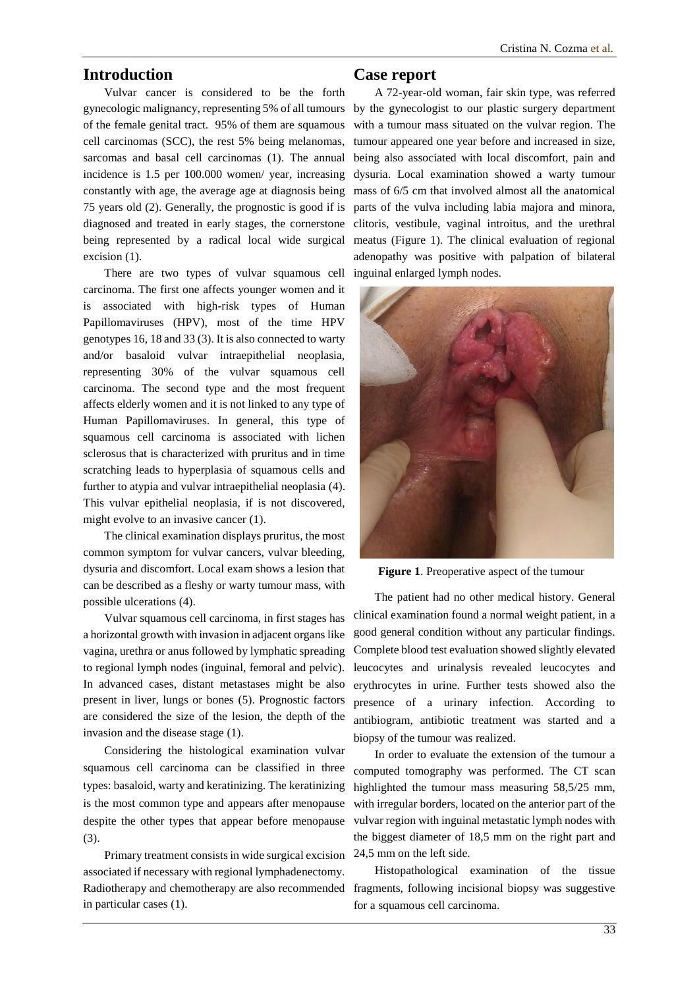### **Introduction**

Vulvar cancer is considered to be the forth gynecologic malignancy, representing 5% of all tumours of the female genital tract. 95% of them are squamous cell carcinomas (SCC), the rest 5% being melanomas, sarcomas and basal cell carcinomas (1). The annual incidence is 1.5 per 100.000 women/ year, increasing constantly with age, the average age at diagnosis being 75 years old (2). Generally, the prognostic is good if is diagnosed and treated in early stages, the cornerstone being represented by a radical local wide surgical excision (1).

There are two types of vulvar squamous cell carcinoma. The first one affects younger women and it is associated with high-risk types of Human Papillomaviruses (HPV), most of the time HPV genotypes 16, 18 and 33 (3). It is also connected to warty and/or basaloid vulvar intraepithelial neoplasia, representing 30% of the vulvar squamous cell carcinoma. The second type and the most frequent affects elderly women and it is not linked to any type of Human Papillomaviruses. In general, this type of squamous cell carcinoma is associated with lichen sclerosus that is characterized with pruritus and in time scratching leads to hyperplasia of squamous cells and further to atypia and vulvar intraepithelial neoplasia (4). This vulvar epithelial neoplasia, if is not discovered, might evolve to an invasive cancer (1).

The clinical examination displays pruritus, the most common symptom for vulvar cancers, vulvar bleeding, dysuria and discomfort. Local exam shows a lesion that can be described as a fleshy or warty tumour mass, with possible ulcerations (4).

Vulvar squamous cell carcinoma, in first stages has a horizontal growth with invasion in adjacent organs like vagina, urethra or anus followed by lymphatic spreading to regional lymph nodes (inguinal, femoral and pelvic). In advanced cases, distant metastases might be also present in liver, lungs or bones (5). Prognostic factors are considered the size of the lesion, the depth of the invasion and the disease stage (1).

Considering the histological examination vulvar squamous cell carcinoma can be classified in three types: basaloid, warty and keratinizing. The keratinizing is the most common type and appears after menopause despite the other types that appear before menopause (3).

Primary treatment consists in wide surgical excision associated if necessary with regional lymphadenectomy. Radiotherapy and chemotherapy are also recommended fragments, following incisional biopsy was suggestive in particular cases (1).

### **Case report**

A 72-year-old woman, fair skin type, was referred by the gynecologist to our plastic surgery department with a tumour mass situated on the vulvar region. The tumour appeared one year before and increased in size, being also associated with local discomfort, pain and dysuria. Local examination showed a warty tumour mass of 6/5 cm that involved almost all the anatomical parts of the vulva including labia majora and minora, clitoris, vestibule, vaginal introitus, and the urethral meatus (Figure 1). The clinical evaluation of regional adenopathy was positive with palpation of bilateral inguinal enlarged lymph nodes.



**Figure 1**. Preoperative aspect of the tumour

The patient had no other medical history. General clinical examination found a normal weight patient, in a good general condition without any particular findings. Complete blood test evaluation showed slightly elevated leucocytes and urinalysis revealed leucocytes and erythrocytes in urine. Further tests showed also the presence of a urinary infection. According to antibiogram, antibiotic treatment was started and a biopsy of the tumour was realized.

In order to evaluate the extension of the tumour a computed tomography was performed. The CT scan highlighted the tumour mass measuring 58,5/25 mm, with irregular borders, located on the anterior part of the vulvar region with inguinal metastatic lymph nodes with the biggest diameter of 18,5 mm on the right part and 24,5 mm on the left side.

Histopathological examination of the tissue for a squamous cell carcinoma.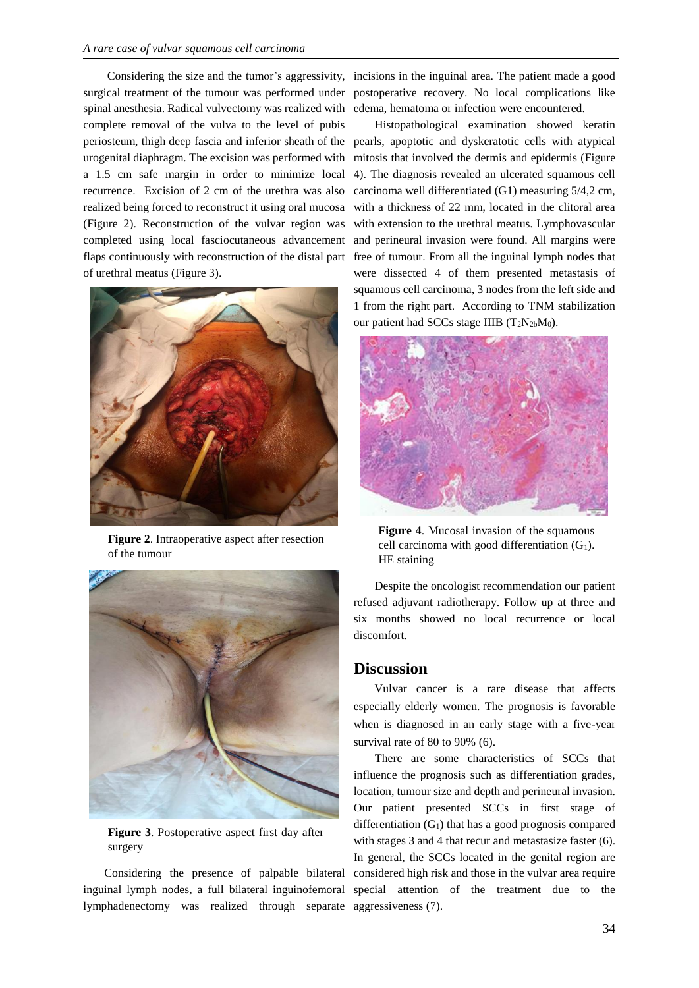surgical treatment of the tumour was performed under spinal anesthesia. Radical vulvectomy was realized with complete removal of the vulva to the level of pubis urogenital diaphragm. The excision was performed with a 1.5 cm safe margin in order to minimize local recurrence. Excision of 2 cm of the urethra was also realized being forced to reconstruct it using oral mucosa (Figure 2). Reconstruction of the vulvar region was completed using local fasciocutaneous advancement flaps continuously with reconstruction of the distal part of urethral meatus (Figure 3).



**Figure 2**. Intraoperative aspect after resection of the tumour



**Figure 3**. Postoperative aspect first day after surgery

Considering the presence of palpable bilateral inguinal lymph nodes, a full bilateral inguinofemoral lymphadenectomy was realized through separate

Considering the size and the tumor's aggressivity, incisions in the inguinal area. The patient made a good postoperative recovery. No local complications like edema, hematoma or infection were encountered.

periosteum, thigh deep fascia and inferior sheath of the pearls, apoptotic and dyskeratotic cells with atypical Histopathological examination showed keratin mitosis that involved the dermis and epidermis (Figure 4). The diagnosis revealed an ulcerated squamous cell carcinoma well differentiated (G1) measuring 5/4,2 cm, with a thickness of 22 mm, located in the clitoral area with extension to the urethral meatus. Lymphovascular and perineural invasion were found. All margins were free of tumour. From all the inguinal lymph nodes that were dissected 4 of them presented metastasis of squamous cell carcinoma, 3 nodes from the left side and 1 from the right part. According to TNM stabilization our patient had SCCs stage IIIB  $(T_2N_{2b}M_0)$ .



**Figure 4**. Mucosal invasion of the squamous cell carcinoma with good differentiation  $(G_1)$ . HE staining

Despite the oncologist recommendation our patient refused adjuvant radiotherapy. Follow up at three and six months showed no local recurrence or local discomfort.

#### **Discussion**

Vulvar cancer is a rare disease that affects especially elderly women. The prognosis is favorable when is diagnosed in an early stage with a five-year survival rate of 80 to 90% (6).

There are some characteristics of SCCs that influence the prognosis such as differentiation grades, location, tumour size and depth and perineural invasion. Our patient presented SCCs in first stage of differentiation  $(G_1)$  that has a good prognosis compared with stages 3 and 4 that recur and metastasize faster (6). In general, the SCCs located in the genital region are considered high risk and those in the vulvar area require special attention of the treatment due to the aggressiveness (7).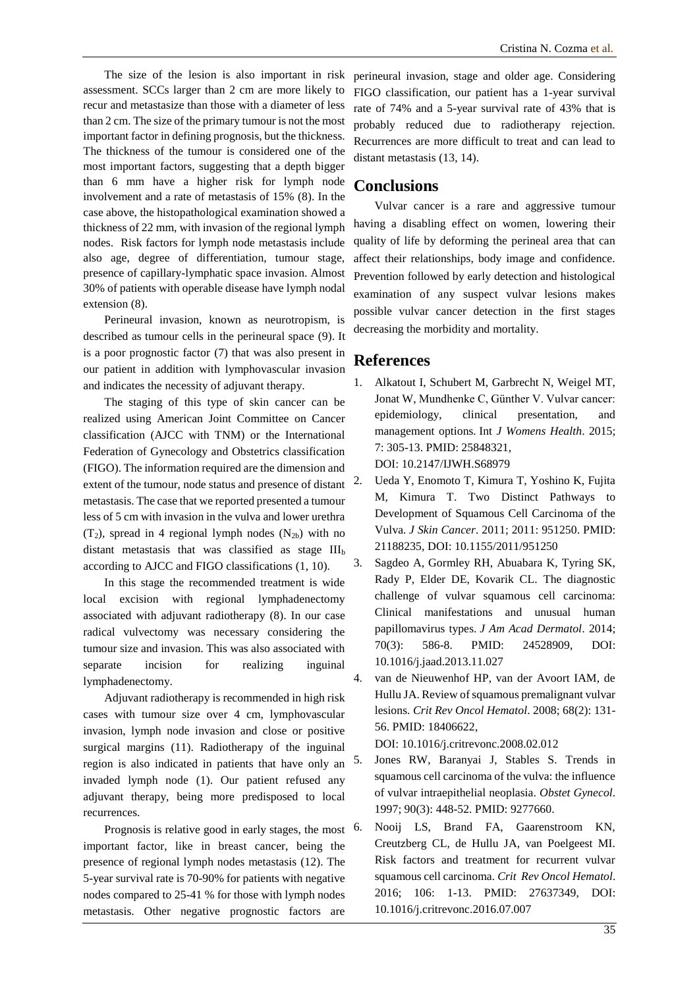The size of the lesion is also important in risk assessment. SCCs larger than 2 cm are more likely to recur and metastasize than those with a diameter of less than 2 cm. The size of the primary tumour is not the most important factor in defining prognosis, but the thickness. The thickness of the tumour is considered one of the most important factors, suggesting that a depth bigger than 6 mm have a higher risk for lymph node involvement and a rate of metastasis of 15% (8). In the case above, the histopathological examination showed a thickness of 22 mm, with invasion of the regional lymph nodes. Risk factors for lymph node metastasis include also age, degree of differentiation, tumour stage, presence of capillary-lymphatic space invasion. Almost 30% of patients with operable disease have lymph nodal extension (8).

Perineural invasion, known as neurotropism, is described as tumour cells in the perineural space (9). It is a poor prognostic factor (7) that was also present in our patient in addition with lymphovascular invasion and indicates the necessity of adjuvant therapy.

The staging of this type of skin cancer can be realized using American Joint Committee on Cancer classification (AJCC with TNM) or the International Federation of Gynecology and Obstetrics classification (FIGO). The information required are the dimension and extent of the tumour, node status and presence of distant metastasis. The case that we reported presented a tumour less of 5 cm with invasion in the vulva and lower urethra  $(T_2)$ , spread in 4 regional lymph nodes  $(N_{2b})$  with no distant metastasis that was classified as stage  $III<sub>b</sub>$ according to AJCC and FIGO classifications (1, 10).

In this stage the recommended treatment is wide local excision with regional lymphadenectomy associated with adjuvant radiotherapy (8). In our case radical vulvectomy was necessary considering the tumour size and invasion. This was also associated with separate incision for realizing inguinal lymphadenectomy.

Adjuvant radiotherapy is recommended in high risk cases with tumour size over 4 cm, lymphovascular invasion, lymph node invasion and close or positive surgical margins (11). Radiotherapy of the inguinal region is also indicated in patients that have only an invaded lymph node (1). Our patient refused any adjuvant therapy, being more predisposed to local recurrences.

Prognosis is relative good in early stages, the most important factor, like in breast cancer, being the presence of regional lymph nodes metastasis (12). The 5-year survival rate is 70-90% for patients with negative nodes compared to 25-41 % for those with lymph nodes metastasis. Other negative prognostic factors are

perineural invasion, stage and older age. Considering FIGO classification, our patient has a 1-year survival rate of 74% and a 5-year survival rate of 43% that is probably reduced due to radiotherapy rejection. Recurrences are more difficult to treat and can lead to distant metastasis (13, 14).

#### **Conclusions**

Vulvar cancer is a rare and aggressive tumour having a disabling effect on women, lowering their quality of life by deforming the perineal area that can affect their relationships, body image and confidence. Prevention followed by early detection and histological examination of any suspect vulvar lesions makes possible vulvar cancer detection in the first stages decreasing the morbidity and mortality.

#### **References**

- 1. Alkatout I, Schubert M, Garbrecht N, Weigel MT, Jonat W, Mundhenke C, Günther V. Vulvar cancer: epidemiology, clinical presentation, and management options. Int *J Womens Health*. 2015; 7: 305-13. PMID: 25848321, DOI: 10.2147/IJWH.S68979
- 2. Ueda Y, Enomoto T, Kimura T, Yoshino K, Fujita M, Kimura T. Two Distinct Pathways to Development of Squamous Cell Carcinoma of the Vulva. *J Skin Cancer*. 2011; 2011: 951250. PMID: 21188235, DOI: 10.1155/2011/951250
- 3. Sagdeo A, Gormley RH, Abuabara K, Tyring SK, Rady P, Elder DE, Kovarik CL. The diagnostic challenge of vulvar squamous cell carcinoma: Clinical manifestations and unusual human papillomavirus types. *J Am Acad Dermatol*. 2014; 70(3): 586-8. PMID: 24528909, DOI: 10.1016/j.jaad.2013.11.027
- 4. van de Nieuwenhof HP, van der Avoort IAM, de Hullu JA. Review of squamous premalignant vulvar lesions. *Crit Rev Oncol Hematol*. 2008; 68(2): 131- 56. PMID: 18406622,

DOI: 10.1016/j.critrevonc.2008.02.012

- 5. Jones RW, Baranyai J, Stables S. Trends in squamous cell carcinoma of the vulva: the influence of vulvar intraepithelial neoplasia. *Obstet Gynecol*. 1997; 90(3): 448-52. PMID: 9277660.
- 6. Nooij LS, Brand FA, Gaarenstroom KN, Creutzberg CL, de Hullu JA, van Poelgeest MI. Risk factors and treatment for recurrent vulvar squamous cell carcinoma. *Crit Rev Oncol Hematol*. 2016; 106: 1-13. PMID: 27637349, DOI: 10.1016/j.critrevonc.2016.07.007